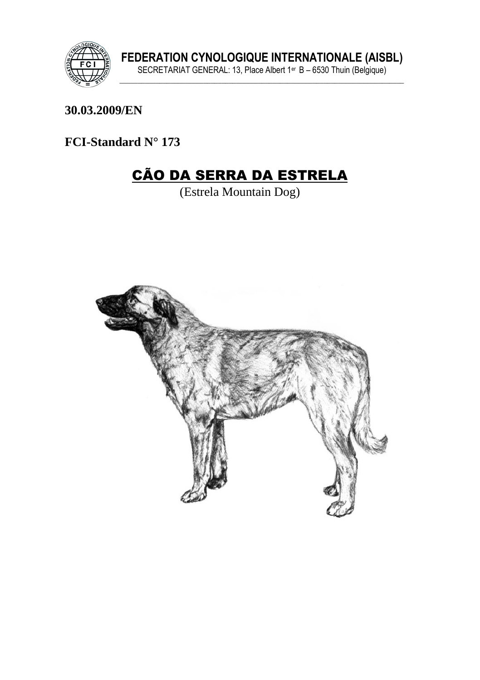

30.03.2009/EN

FCI-Standard N° 173

# **CÃO DA SERRA DA ESTRELA**

(Estrela Mountain Dog)

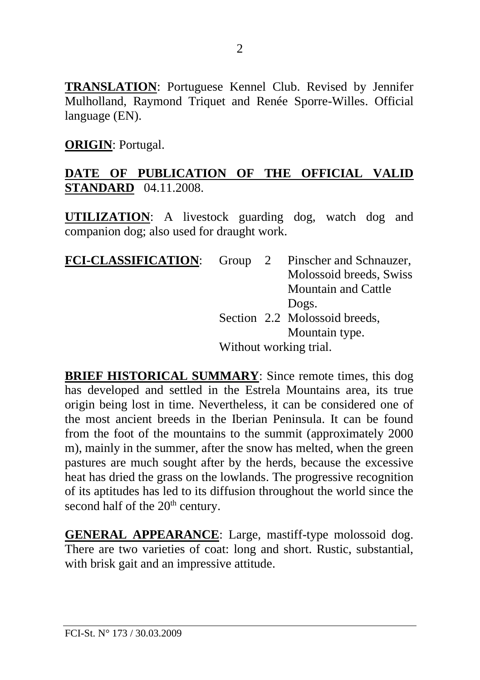**TRANSLATION**: Portuguese Kennel Club. Revised by Jennifer Mulholland, Raymond Triquet and Renée Sporre-Willes. Official language (EN).

**ORIGIN**: Portugal.

## **DATE OF PUBLICATION OF THE OFFICIAL VALID STANDARD** 04.11.2008.

**UTILIZATION**: A livestock guarding dog, watch dog and companion dog; also used for draught work.

| <b>FCI-CLASSIFICATION:</b> |                        |  | Group 2 Pinscher and Schnauzer, |
|----------------------------|------------------------|--|---------------------------------|
|                            |                        |  | Molossoid breeds, Swiss         |
|                            |                        |  | Mountain and Cattle             |
|                            |                        |  | Dogs.                           |
|                            |                        |  | Section 2.2 Molossoid breeds,   |
|                            |                        |  | Mountain type.                  |
|                            | Without working trial. |  |                                 |

**BRIEF HISTORICAL SUMMARY:** Since remote times, this dog has developed and settled in the Estrela Mountains area, its true origin being lost in time. Nevertheless, it can be considered one of the most ancient breeds in the Iberian Peninsula. It can be found from the foot of the mountains to the summit (approximately 2000 m), mainly in the summer, after the snow has melted, when the green pastures are much sought after by the herds, because the excessive heat has dried the grass on the lowlands. The progressive recognition of its aptitudes has led to its diffusion throughout the world since the second half of the 20<sup>th</sup> century.

**GENERAL APPEARANCE**: Large, mastiff-type molossoid dog. There are two varieties of coat: long and short. Rustic, substantial, with brisk gait and an impressive attitude.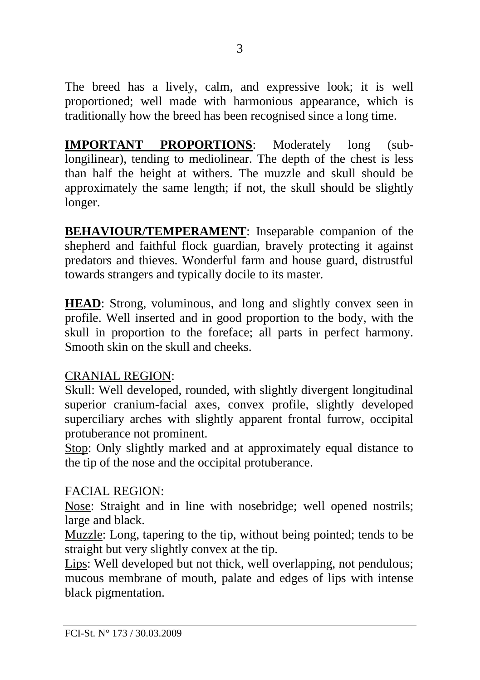The breed has a lively, calm, and expressive look; it is well proportioned; well made with harmonious appearance, which is traditionally how the breed has been recognised since a long time.

**IMPORTANT PROPORTIONS**: Moderately long (sublongilinear), tending to mediolinear. The depth of the chest is less than half the height at withers. The muzzle and skull should be approximately the same length; if not, the skull should be slightly longer.

**BEHAVIOUR/TEMPERAMENT:** Inseparable companion of the shepherd and faithful flock guardian, bravely protecting it against predators and thieves. Wonderful farm and house guard, distrustful towards strangers and typically docile to its master.

**HEAD**: Strong, voluminous, and long and slightly convex seen in profile. Well inserted and in good proportion to the body, with the skull in proportion to the foreface; all parts in perfect harmony. Smooth skin on the skull and cheeks.

## CRANIAL REGION:

Skull: Well developed, rounded, with slightly divergent longitudinal superior cranium-facial axes, convex profile, slightly developed superciliary arches with slightly apparent frontal furrow, occipital protuberance not prominent.

Stop: Only slightly marked and at approximately equal distance to the tip of the nose and the occipital protuberance.

## FACIAL REGION:

Nose: Straight and in line with nosebridge; well opened nostrils; large and black.

Muzzle: Long, tapering to the tip, without being pointed; tends to be straight but very slightly convex at the tip.

Lips: Well developed but not thick, well overlapping, not pendulous; mucous membrane of mouth, palate and edges of lips with intense black pigmentation.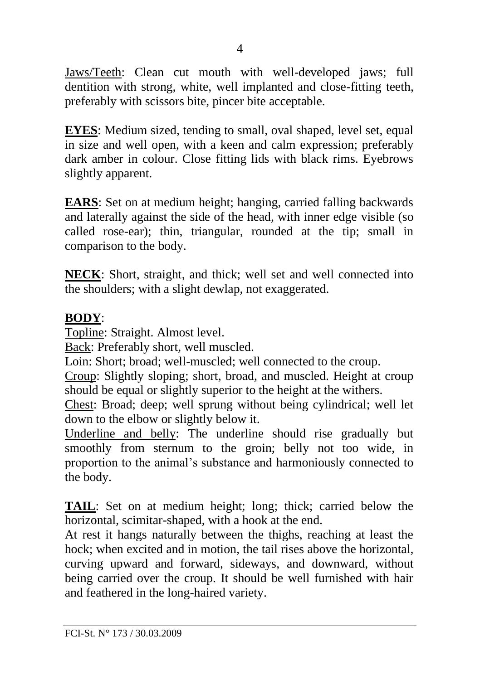Jaws/Teeth: Clean cut mouth with well-developed jaws; full dentition with strong, white, well implanted and close-fitting teeth, preferably with scissors bite, pincer bite acceptable.

**EYES**: Medium sized, tending to small, oval shaped, level set, equal in size and well open, with a keen and calm expression; preferably dark amber in colour. Close fitting lids with black rims. Eyebrows slightly apparent.

**EARS**: Set on at medium height; hanging, carried falling backwards and laterally against the side of the head, with inner edge visible (so called rose-ear); thin, triangular, rounded at the tip; small in comparison to the body.

**NECK**: Short, straight, and thick; well set and well connected into the shoulders; with a slight dewlap, not exaggerated.

#### **BODY**:

Topline: Straight. Almost level.

Back: Preferably short, well muscled.

Loin: Short; broad; well-muscled; well connected to the croup.

Croup: Slightly sloping; short, broad, and muscled. Height at croup should be equal or slightly superior to the height at the withers.

Chest: Broad; deep; well sprung without being cylindrical; well let down to the elbow or slightly below it.

Underline and belly: The underline should rise gradually but smoothly from sternum to the groin; belly not too wide, in proportion to the animal's substance and harmoniously connected to the body.

**TAIL**: Set on at medium height; long; thick; carried below the horizontal, scimitar-shaped, with a hook at the end.

At rest it hangs naturally between the thighs, reaching at least the hock; when excited and in motion, the tail rises above the horizontal, curving upward and forward, sideways, and downward, without being carried over the croup. It should be well furnished with hair and feathered in the long-haired variety.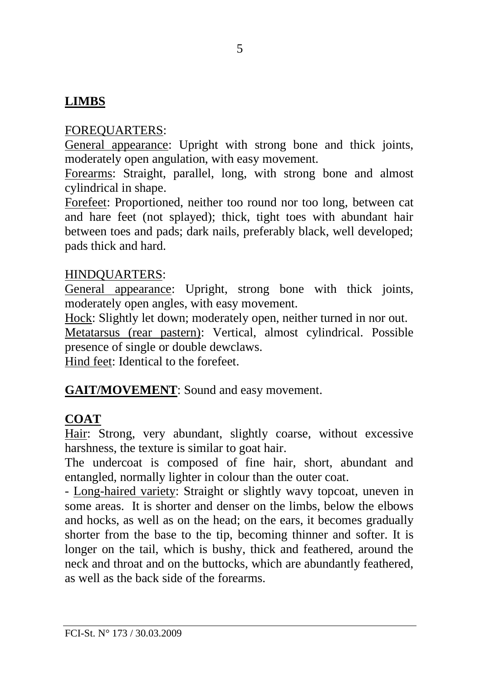# **LIMBS**

## FOREQUARTERS:

General appearance: Upright with strong bone and thick joints, moderately open angulation, with easy movement.

Forearms: Straight, parallel, long, with strong bone and almost cylindrical in shape.

Forefeet: Proportioned, neither too round nor too long, between cat and hare feet (not splayed); thick, tight toes with abundant hair between toes and pads; dark nails, preferably black, well developed; pads thick and hard.

#### HINDQUARTERS:

General appearance: Upright, strong bone with thick joints, moderately open angles, with easy movement.

Hock: Slightly let down; moderately open, neither turned in nor out. Metatarsus (rear pastern): Vertical, almost cylindrical. Possible presence of single or double dewclaws.

Hind feet: Identical to the forefeet.

#### **GAIT/MOVEMENT**: Sound and easy movement.

## **COAT**

Hair: Strong, very abundant, slightly coarse, without excessive harshness, the texture is similar to goat hair.

The undercoat is composed of fine hair, short, abundant and entangled, normally lighter in colour than the outer coat.

- Long-haired variety: Straight or slightly wavy topcoat, uneven in some areas. It is shorter and denser on the limbs, below the elbows and hocks, as well as on the head; on the ears, it becomes gradually shorter from the base to the tip, becoming thinner and softer. It is longer on the tail, which is bushy, thick and feathered, around the neck and throat and on the buttocks, which are abundantly feathered, as well as the back side of the forearms.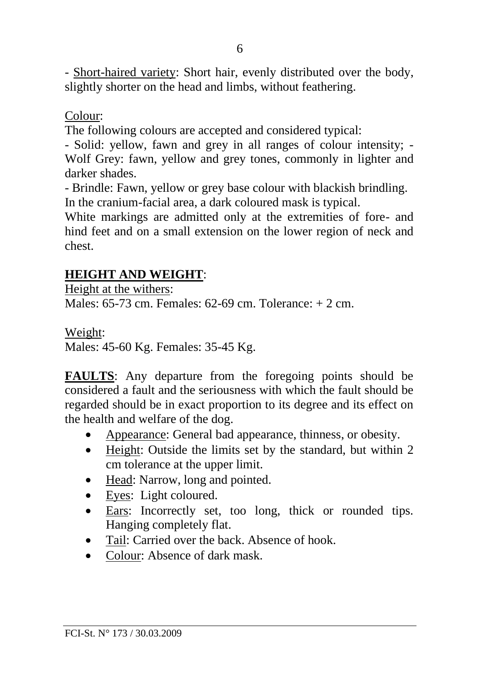- Short-haired variety: Short hair, evenly distributed over the body, slightly shorter on the head and limbs, without feathering.

## Colour:

The following colours are accepted and considered typical:

- Solid: yellow, fawn and grey in all ranges of colour intensity; - Wolf Grey: fawn, yellow and grey tones, commonly in lighter and darker shades.

- Brindle: Fawn, yellow or grey base colour with blackish brindling. In the cranium-facial area, a dark coloured mask is typical.

White markings are admitted only at the extremities of fore- and hind feet and on a small extension on the lower region of neck and chest.

## **HEIGHT AND WEIGHT**:

Height at the withers:

Males:  $65-73$  cm. Females:  $62-69$  cm. Tolerance:  $\pm 2$  cm.

Weight:

Males: 45-60 Kg. Females: 35-45 Kg.

**FAULTS**: Any departure from the foregoing points should be considered a fault and the seriousness with which the fault should be regarded should be in exact proportion to its degree and its effect on the health and welfare of the dog.

- Appearance: General bad appearance, thinness, or obesity.
- Height: Outside the limits set by the standard, but within 2 cm tolerance at the upper limit.
- Head: Narrow, long and pointed.
- Eyes: Light coloured.
- Ears: Incorrectly set, too long, thick or rounded tips. Hanging completely flat.
- Tail: Carried over the back. Absence of hook.
- Colour: Absence of dark mask.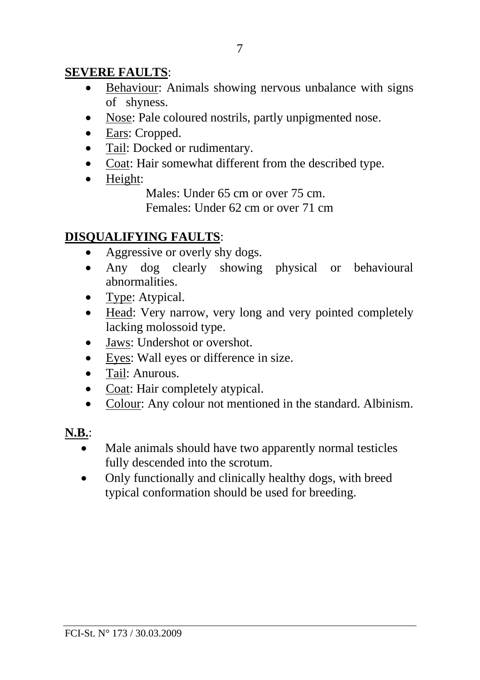## **SEVERE FAULTS**:

- Behaviour: Animals showing nervous unbalance with signs of shyness.
- Nose: Pale coloured nostrils, partly unpigmented nose.
- Ears: Cropped.
- Tail: Docked or rudimentary.
- Coat: Hair somewhat different from the described type.
- Height:

Males: Under 65 cm or over 75 cm.

Females: Under 62 cm or over 71 cm

## **DISQUALIFYING FAULTS**:

- Aggressive or overly shy dogs.
- Any dog clearly showing physical or behavioural abnormalities.
- Type: Atypical.
- Head: Very narrow, very long and very pointed completely lacking molossoid type.
- Jaws: Undershot or overshot.
- Eyes: Wall eyes or difference in size.
- Tail: Anurous.
- Coat: Hair completely atypical.
- Colour: Any colour not mentioned in the standard. Albinism.

## **N.B.**:

- Male animals should have two apparently normal testicles fully descended into the scrotum.
- Only functionally and clinically healthy dogs, with breed typical conformation should be used for breeding.